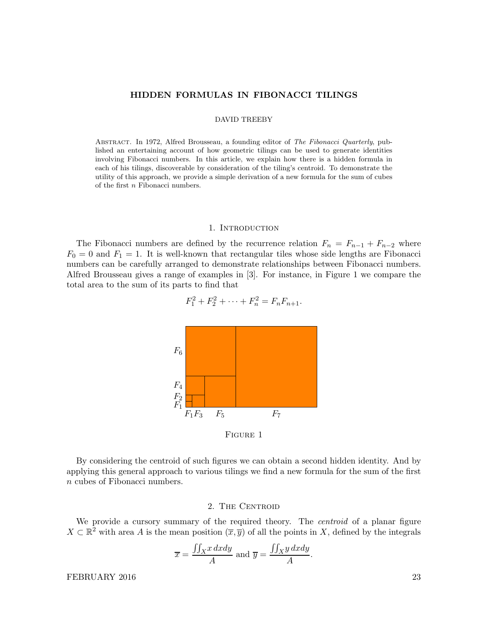### HIDDEN FORMULAS IN FIBONACCI TILINGS

#### DAVID TREEBY

ABSTRACT. In 1972, Alfred Brousseau, a founding editor of The Fibonacci Quarterly, published an entertaining account of how geometric tilings can be used to generate identities involving Fibonacci numbers. In this article, we explain how there is a hidden formula in each of his tilings, discoverable by consideration of the tiling's centroid. To demonstrate the utility of this approach, we provide a simple derivation of a new formula for the sum of cubes of the first n Fibonacci numbers.

### 1. INTRODUCTION

The Fibonacci numbers are defined by the recurrence relation  $F_n = F_{n-1} + F_{n-2}$  where  $F_0 = 0$  and  $F_1 = 1$ . It is well-known that rectangular tiles whose side lengths are Fibonacci numbers can be carefully arranged to demonstrate relationships between Fibonacci numbers. Alfred Brousseau gives a range of examples in [3]. For instance, in Figure 1 we compare the total area to the sum of its parts to find that



 $F_1^2 + F_2^2 + \cdots + F_n^2 = F_n F_{n+1}.$ 

Figure 1

By considering the centroid of such figures we can obtain a second hidden identity. And by applying this general approach to various tilings we find a new formula for the sum of the first n cubes of Fibonacci numbers.

### 2. THE CENTROID

We provide a cursory summary of the required theory. The *centroid* of a planar figure  $X \subset \mathbb{R}^2$  with area A is the mean position  $(\overline{x}, \overline{y})$  of all the points in X, defined by the integrals

$$
\overline{x} = \frac{\iint_X x \, dxdy}{A} \text{ and } \overline{y} = \frac{\iint_X y \, dxdy}{A}
$$

.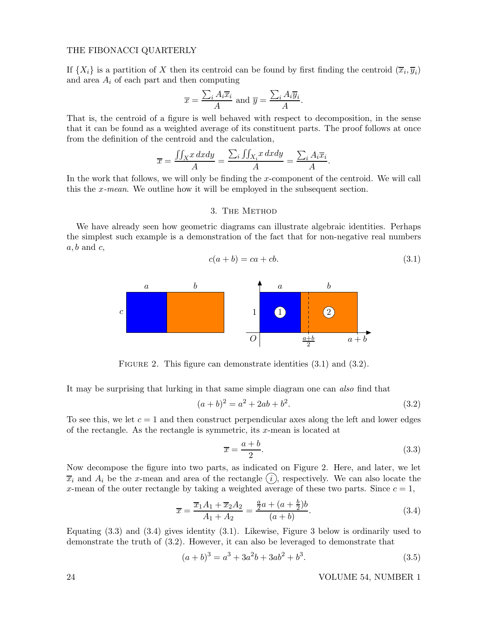If  $\{X_i\}$  is a partition of X then its centroid can be found by first finding the centroid  $(\overline{x}_i, \overline{y}_i)$ and area  $A_i$  of each part and then computing

$$
\overline{x} = \frac{\sum_{i} A_{i} \overline{x}_{i}}{A}
$$
 and  $\overline{y} = \frac{\sum_{i} A_{i} \overline{y}_{i}}{A}$ 

That is, the centroid of a figure is well behaved with respect to decomposition, in the sense that it can be found as a weighted average of its constituent parts. The proof follows at once from the definition of the centroid and the calculation,

$$
\overline{x} = \frac{\iint_{X} x \, dxdy}{A} = \frac{\sum_{i} \iint_{X_{i}} x \, dxdy}{A} = \frac{\sum_{i} A_{i} \overline{x}_{i}}{A}.
$$

In the work that follows, we will only be finding the x-component of the centroid. We will call this the x-mean. We outline how it will be employed in the subsequent section.

### 3. The Method

We have already seen how geometric diagrams can illustrate algebraic identities. Perhaps the simplest such example is a demonstration of the fact that for non-negative real numbers  $a, b$  and  $c,$ 

$$
c(a+b) = ca+cb.
$$
\n
$$
(3.1)
$$

.



FIGURE 2. This figure can demonstrate identities  $(3.1)$  and  $(3.2)$ .

It may be surprising that lurking in that same simple diagram one can also find that

$$
(a+b)^2 = a^2 + 2ab + b^2.
$$
\n(3.2)

To see this, we let  $c = 1$  and then construct perpendicular axes along the left and lower edges of the rectangle. As the rectangle is symmetric, its  $x$ -mean is located at

$$
\overline{x} = \frac{a+b}{2}.\tag{3.3}
$$

Now decompose the figure into two parts, as indicated on Figure 2. Here, and later, we let  $\overline{x}_i$  and  $A_i$  be the x-mean and area of the rectangle  $(i)$ , respectively. We can also locate the x-mean of the outer rectangle by taking a weighted average of these two parts. Since  $c = 1$ ,

$$
\overline{x} = \frac{\overline{x}_1 A_1 + \overline{x}_2 A_2}{A_1 + A_2} = \frac{\frac{a}{2}a + (a + \frac{b}{2})b}{(a + b)}.
$$
\n(3.4)

Equating  $(3.3)$  and  $(3.4)$  gives identity  $(3.1)$ . Likewise, Figure 3 below is ordinarily used to demonstrate the truth of (3.2). However, it can also be leveraged to demonstrate that

$$
(a+b)^3 = a^3 + 3a^2b + 3ab^2 + b^3.
$$
\n(3.5)

24 VOLUME 54, NUMBER 1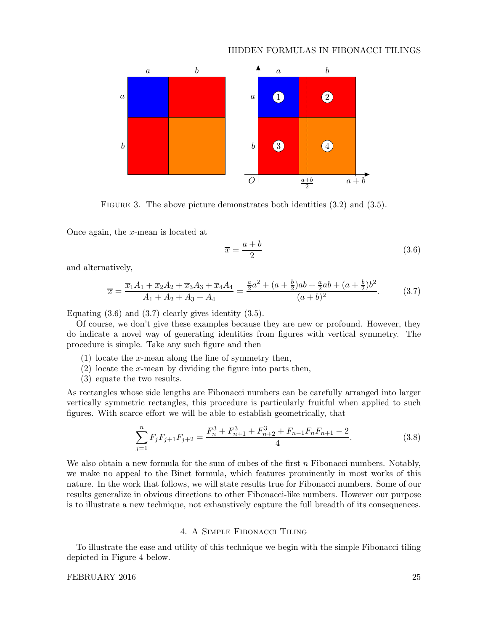# HIDDEN FORMULAS IN FIBONACCI TILINGS



FIGURE 3. The above picture demonstrates both identities  $(3.2)$  and  $(3.5)$ .

Once again, the x-mean is located at

$$
\overline{x} = \frac{a+b}{2} \tag{3.6}
$$

and alternatively,

$$
\overline{x} = \frac{\overline{x}_1 A_1 + \overline{x}_2 A_2 + \overline{x}_3 A_3 + \overline{x}_4 A_4}{A_1 + A_2 + A_3 + A_4} = \frac{\frac{a}{2}a^2 + (a + \frac{b}{2})ab + \frac{a}{2}ab + (a + \frac{b}{2})b^2}{(a + b)^2}.
$$
(3.7)

Equating  $(3.6)$  and  $(3.7)$  clearly gives identity  $(3.5)$ .

Of course, we don't give these examples because they are new or profound. However, they do indicate a novel way of generating identities from figures with vertical symmetry. The procedure is simple. Take any such figure and then

- (1) locate the x-mean along the line of symmetry then,
- $(2)$  locate the x-mean by dividing the figure into parts then,
- (3) equate the two results.

As rectangles whose side lengths are Fibonacci numbers can be carefully arranged into larger vertically symmetric rectangles, this procedure is particularly fruitful when applied to such figures. With scarce effort we will be able to establish geometrically, that

$$
\sum_{j=1}^{n} F_j F_{j+1} F_{j+2} = \frac{F_n^3 + F_{n+1}^3 + F_{n+2}^3 + F_{n-1} F_n F_{n+1} - 2}{4}.
$$
 (3.8)

We also obtain a new formula for the sum of cubes of the first  $n$  Fibonacci numbers. Notably, we make no appeal to the Binet formula, which features prominently in most works of this nature. In the work that follows, we will state results true for Fibonacci numbers. Some of our results generalize in obvious directions to other Fibonacci-like numbers. However our purpose is to illustrate a new technique, not exhaustively capture the full breadth of its consequences.

# 4. A Simple Fibonacci Tiling

To illustrate the ease and utility of this technique we begin with the simple Fibonacci tiling depicted in Figure 4 below.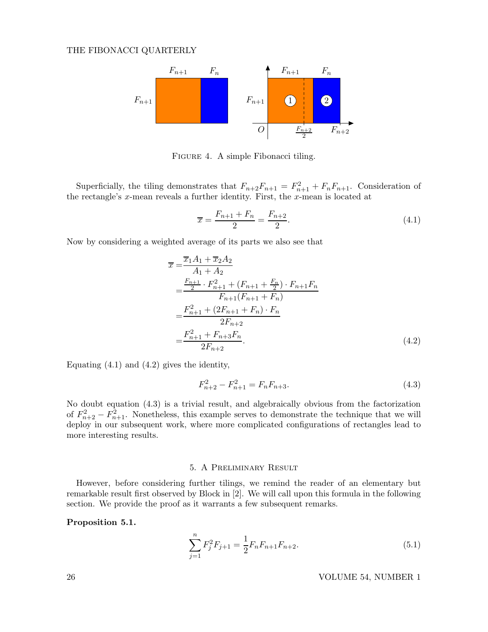

FIGURE 4. A simple Fibonacci tiling.

Superficially, the tiling demonstrates that  $F_{n+2}F_{n+1} = F_{n+1}^2 + F_nF_{n+1}$ . Consideration of the rectangle's  $x$ -mean reveals a further identity. First, the  $x$ -mean is located at

$$
\overline{x} = \frac{F_{n+1} + F_n}{2} = \frac{F_{n+2}}{2}.
$$
\n(4.1)

Now by considering a weighted average of its parts we also see that

$$
\overline{x} = \frac{\overline{x}_1 A_1 + \overline{x}_2 A_2}{A_1 + A_2}
$$
\n
$$
= \frac{\frac{F_{n+1}}{2} \cdot F_{n+1}^2 + (F_{n+1} + \frac{F_n}{2}) \cdot F_{n+1} F_n}{F_{n+1} (F_{n+1} + F_n)}
$$
\n
$$
= \frac{F_{n+1}^2 + (2F_{n+1} + F_n) \cdot F_n}{2F_{n+2}}
$$
\n
$$
= \frac{F_{n+1}^2 + F_{n+3} F_n}{2F_{n+2}}.
$$
\n(4.2)

Equating  $(4.1)$  and  $(4.2)$  gives the identity,

$$
F_{n+2}^2 - F_{n+1}^2 = F_n F_{n+3}.
$$
\n(4.3)

No doubt equation (4.3) is a trivial result, and algebraically obvious from the factorization of  $F_{n+2}^2 - F_{n+1}^2$ . Nonetheless, this example serves to demonstrate the technique that we will deploy in our subsequent work, where more complicated configurations of rectangles lead to more interesting results.

## 5. A Preliminary Result

However, before considering further tilings, we remind the reader of an elementary but remarkable result first observed by Block in [2]. We will call upon this formula in the following section. We provide the proof as it warrants a few subsequent remarks.

## Proposition 5.1.

$$
\sum_{j=1}^{n} F_j^2 F_{j+1} = \frac{1}{2} F_n F_{n+1} F_{n+2}.
$$
\n(5.1)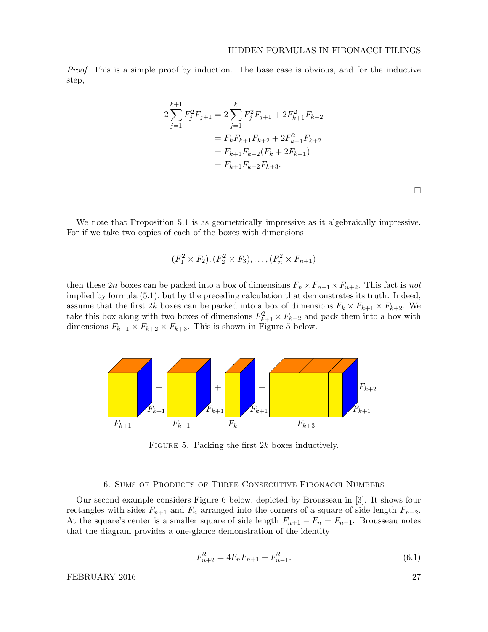Proof. This is a simple proof by induction. The base case is obvious, and for the inductive step,

$$
2\sum_{j=1}^{k+1} F_j^2 F_{j+1} = 2\sum_{j=1}^k F_j^2 F_{j+1} + 2F_{k+1}^2 F_{k+2}
$$
  
=  $F_k F_{k+1} F_{k+2} + 2F_{k+1}^2 F_{k+2}$   
=  $F_{k+1} F_{k+2} (F_k + 2F_{k+1})$   
=  $F_{k+1} F_{k+2} F_{k+3}$ .

 $\Box$ 

We note that Proposition 5.1 is as geometrically impressive as it algebraically impressive. For if we take two copies of each of the boxes with dimensions

$$
(F_1^2 \times F_2), (F_2^2 \times F_3), \dots, (F_n^2 \times F_{n+1})
$$

then these 2n boxes can be packed into a box of dimensions  $F_n \times F_{n+1} \times F_{n+2}$ . This fact is not implied by formula (5.1), but by the preceding calculation that demonstrates its truth. Indeed, assume that the first 2k boxes can be packed into a box of dimensions  $F_k \times F_{k+1} \times F_{k+2}$ . We take this box along with two boxes of dimensions  $F_{k+1}^2 \times F_{k+2}$  and pack them into a box with dimensions  $F_{k+1} \times F_{k+2} \times F_{k+3}$ . This is shown in Figure 5 below.



FIGURE 5. Packing the first  $2k$  boxes inductively.

#### 6. Sums of Products of Three Consecutive Fibonacci Numbers

Our second example considers Figure 6 below, depicted by Brousseau in [3]. It shows four rectangles with sides  $F_{n+1}$  and  $F_n$  arranged into the corners of a square of side length  $F_{n+2}$ . At the square's center is a smaller square of side length  $F_{n+1} - F_n = F_{n-1}$ . Brousseau notes that the diagram provides a one-glance demonstration of the identity

$$
F_{n+2}^2 = 4F_n F_{n+1} + F_{n-1}^2.
$$
\n(6.1)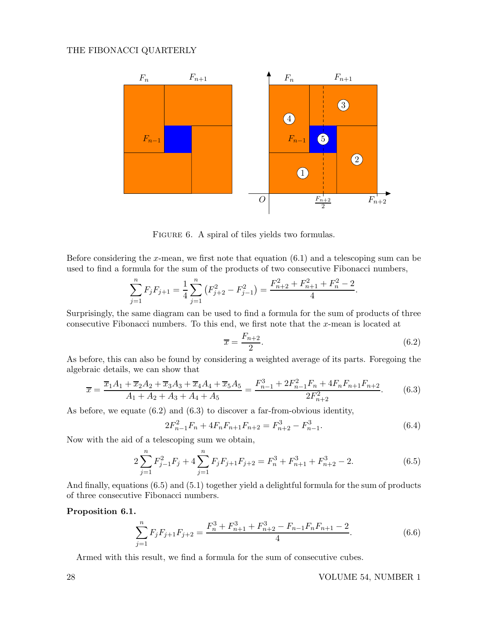

FIGURE 6. A spiral of tiles yields two formulas.

Before considering the x-mean, we first note that equation  $(6.1)$  and a telescoping sum can be used to find a formula for the sum of the products of two consecutive Fibonacci numbers,

$$
\sum_{j=1}^{n} F_j F_{j+1} = \frac{1}{4} \sum_{j=1}^{n} \left( F_{j+2}^2 - F_{j-1}^2 \right) = \frac{F_{n+2}^2 + F_{n+1}^2 + F_n^2 - 2}{4}.
$$

Surprisingly, the same diagram can be used to find a formula for the sum of products of three consecutive Fibonacci numbers. To this end, we first note that the x-mean is located at

$$
\overline{x} = \frac{F_{n+2}}{2}.\tag{6.2}
$$

As before, this can also be found by considering a weighted average of its parts. Foregoing the algebraic details, we can show that

$$
\overline{x} = \frac{\overline{x}_1 A_1 + \overline{x}_2 A_2 + \overline{x}_3 A_3 + \overline{x}_4 A_4 + \overline{x}_5 A_5}{A_1 + A_2 + A_3 + A_4 + A_5} = \frac{F_{n-1}^3 + 2F_{n-1}^2 F_n + 4F_n F_{n+1} F_{n+2}}{2F_{n+2}^2}.
$$
(6.3)

As before, we equate (6.2) and (6.3) to discover a far-from-obvious identity,

$$
2F_{n-1}^2 F_n + 4F_n F_{n+1} F_{n+2} = F_{n+2}^3 - F_{n-1}^3.
$$
\n(6.4)

Now with the aid of a telescoping sum we obtain,

$$
2\sum_{j=1}^{n} F_{j-1}^{2} F_{j} + 4\sum_{j=1}^{n} F_{j} F_{j+1} F_{j+2} = F_{n}^{3} + F_{n+1}^{3} + F_{n+2}^{3} - 2.
$$
 (6.5)

And finally, equations (6.5) and (5.1) together yield a delightful formula for the sum of products of three consecutive Fibonacci numbers.

# Proposition 6.1.

$$
\sum_{j=1}^{n} F_j F_{j+1} F_{j+2} = \frac{F_n^3 + F_{n+1}^3 + F_{n+2}^3 - F_{n-1} F_n F_{n+1} - 2}{4}.
$$
 (6.6)

Armed with this result, we find a formula for the sum of consecutive cubes.

28 VOLUME 54, NUMBER 1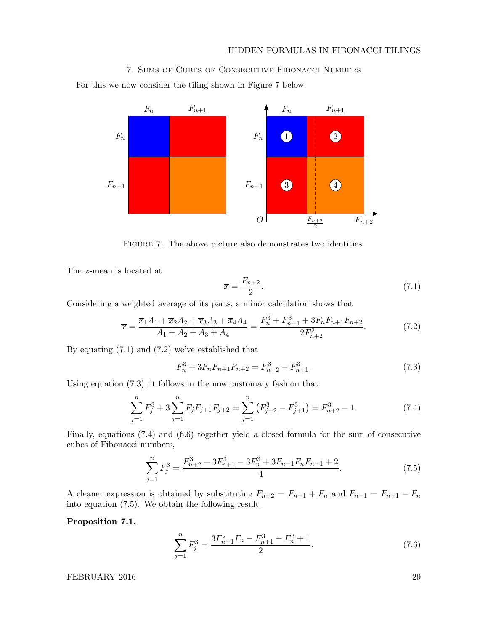# HIDDEN FORMULAS IN FIBONACCI TILINGS

# 7. Sums of Cubes of Consecutive Fibonacci Numbers

For this we now consider the tiling shown in Figure 7 below.



FIGURE 7. The above picture also demonstrates two identities.

The x-mean is located at

$$
\overline{x} = \frac{F_{n+2}}{2}.\tag{7.1}
$$

Considering a weighted average of its parts, a minor calculation shows that

$$
\overline{x} = \frac{\overline{x}_1 A_1 + \overline{x}_2 A_2 + \overline{x}_3 A_3 + \overline{x}_4 A_4}{A_1 + A_2 + A_3 + A_4} = \frac{F_n^3 + F_{n+1}^3 + 3F_n F_{n+1} F_{n+2}}{2F_{n+2}^2}.
$$
(7.2)

By equating (7.1) and (7.2) we've established that

$$
F_n^3 + 3F_n F_{n+1} F_{n+2} = F_{n+2}^3 - F_{n+1}^3. \tag{7.3}
$$

Using equation (7.3), it follows in the now customary fashion that

$$
\sum_{j=1}^{n} F_j^3 + 3 \sum_{j=1}^{n} F_j F_{j+1} F_{j+2} = \sum_{j=1}^{n} \left( F_{j+2}^3 - F_{j+1}^3 \right) = F_{n+2}^3 - 1. \tag{7.4}
$$

Finally, equations (7.4) and (6.6) together yield a closed formula for the sum of consecutive cubes of Fibonacci numbers,

$$
\sum_{j=1}^{n} F_j^3 = \frac{F_{n+2}^3 - 3F_{n+1}^3 - 3F_n^3 + 3F_{n-1}F_nF_{n+1} + 2}{4}.
$$
 (7.5)

A cleaner expression is obtained by substituting  $F_{n+2} = F_{n+1} + F_n$  and  $F_{n-1} = F_{n+1} - F_n$ into equation (7.5). We obtain the following result.

Proposition 7.1.

$$
\sum_{j=1}^{n} F_j^3 = \frac{3F_{n+1}^2 F_n - F_{n+1}^3 - F_n^3 + 1}{2}.
$$
\n(7.6)